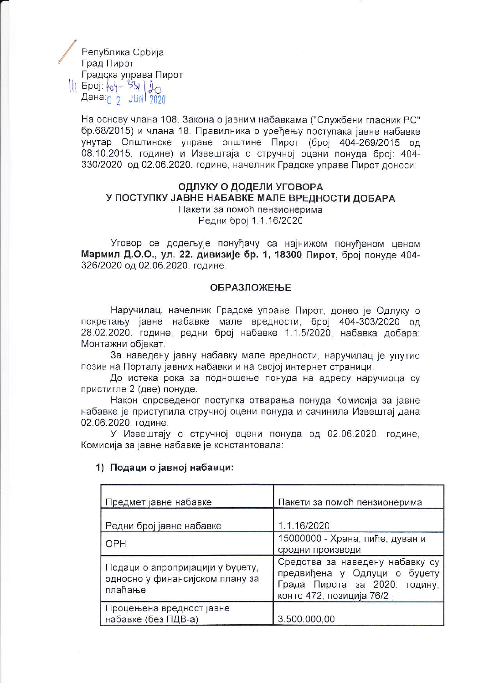Република Србија Град Пирот Градска управа Пирот  $|||$  Epoj:  $|04 - 331|$   $0$ Дана  $\rho$  JUN 2020

> На основу члана 108. Закона о јавним набавкама ("Службени гласник РС" бр.68/2015) и члана 18. Правилника о уређењу поступака јавне набавке унутар Општинске управе општине Пирот (број 404-269/2015 од 08.10.2015. године) и Извештаја о стручној оцени понуда број: 404-330/2020 од 02.06.2020. године, начелник Градске управе Пирот доноси:

#### ОДЛУКУ О ДОДЕЛИ УГОВОРА У ПОСТУПКУ ЈАВНЕ НАБАВКЕ МАЛЕ ВРЕДНОСТИ ДОБАРА Пакети за помоћ пензионерима Редни број 1.1.16/2020

Уговор се додељује понуђачу са најнижом понуђеном ценом Мармил Д.О.О., ул. 22. дивизије бр. 1, 18300 Пирот, број понуде 404-326/2020 од 02.06.2020. године.

#### **ОБРАЗЛОЖЕЊЕ**

Наручилац, начелник Градске управе Пирот, донео је Одлуку о покретању јавне набавке мале вредности, број 404-303/2020 од 28.02.2020. године, редни број набавке 1.1.5/2020, набавка добара: Монтажни објекат.

За наведену јавну набавку мале вредности, наручилац је упутио позив на Порталу јавних набавки и на својој интернет страници.

До истека рока за подношење понуда на адресу наручиоца су пристигле 2 (две) понуде.

Након спроведеног поступка отварања понуда Комисија за јавне набавке је приступила стручној оцени понуда и сачинила Извештај дана 02.06.2020. године.

У Извештају о стручној оцени понуда од 02.06.2020. године, Комисија за јавне набавке је константовала:

| Предмет јавне набавке                                                          | Пакети за помоћ пензионерима                                                                                                       |  |
|--------------------------------------------------------------------------------|------------------------------------------------------------------------------------------------------------------------------------|--|
| Редни број јавне набавке                                                       | 1.1.16/2020                                                                                                                        |  |
| OPH                                                                            | 15000000 - Храна, пиће, дуван и<br>сродни производи                                                                                |  |
| Подаци о апропријацији у буџету,<br>односно у финансијском плану за<br>плаћање | Средства за наведену набавку су<br>предвиђена у Одлуци о<br>буџету<br>Града Пирота за 2020.<br>годину,<br>конто 472, позиција 76/2 |  |
| Процењена вредност јавне<br>набавке (без ПДВ-а)                                | 3.500.000,00                                                                                                                       |  |

#### 1) Подаци о јавној набавци: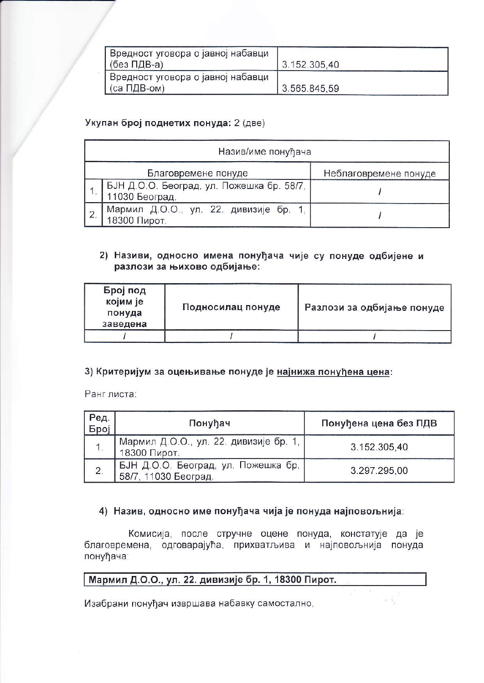| Вредност уговора о јавној набавци |              |
|-----------------------------------|--------------|
| (без ПДВ-а)                       | 3.152.305.40 |
| Вредност уговора о јавној набавци |              |
| (са ПДВ-ом)                       | 3.565.845.59 |

### Укупан број поднетих понуда: 2 (две)

|                | Назив/име понуђача                                          |                       |  |  |  |
|----------------|-------------------------------------------------------------|-----------------------|--|--|--|
|                | Благовремене понуде                                         | Неблаговремене понуде |  |  |  |
|                | БЈН Д.О.О. Београд, ул. Пожешка бр. 58/7,<br>11030 Београд. |                       |  |  |  |
| $\overline{2}$ | Мармил Д.О.О., ул. 22. дивизије бр. 1,<br>18300 Пирот.      |                       |  |  |  |

### 2) Називи, односно имена понуђача чије су понуде одбијене и разлози за њихово одбијање:

| Број под<br>којим је<br>понуда<br>заведена | Подносилац понуде | Разлози за одбијање понуде |
|--------------------------------------------|-------------------|----------------------------|
|                                            |                   |                            |

## 3) Критеријум за оцењивање понуде је најнижа понуђена цена:

Ранг листа:

| Ред.<br>Број | Понуђач                                                     | Понуђена цена без ПДВ |
|--------------|-------------------------------------------------------------|-----------------------|
| <b>1.</b>    | Мармил Д.О.О., ул. 22. дивизије бр. 1,<br>18300 Пирот.      | 3.152.305,40          |
| 2.           | БЈН Д.О.О. Београд, ул. Пожешка бр.<br>58/7, 11030 Београд. | 3.297.295.00          |

## 4) Назив, односно име понуђача чија је понуда најповољнија:

Комисија, после стручне оцене понуда, констатује да је благовремена, одговарајућа, прихватљива и најповољнија понуда понуђача:

## Мармил Д.О.О., ул. 22. дивизије бр. 1, 18300 Пирот.

Изабрани понуђач извршава набавку самостално,